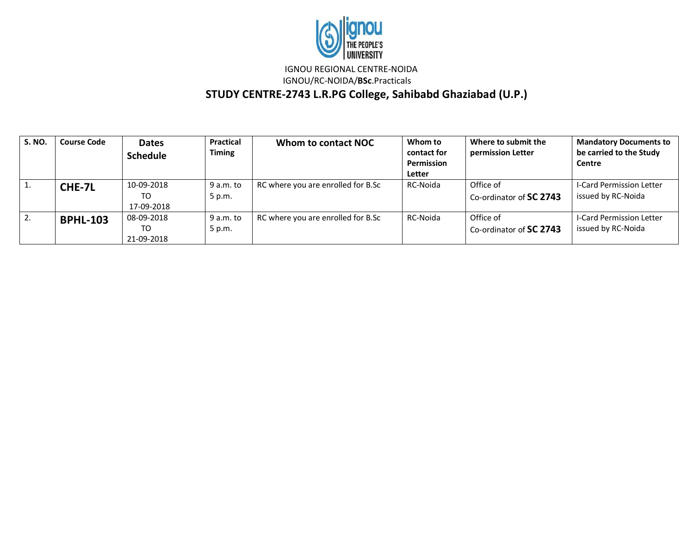

IGNOU REGIONAL CENTRE-NOIDA

IGNOU/RC-NOIDA/**BSc**.Practicals

 **STUDY CENTRE-2743 L.R.PG College, Sahibabd Ghaziabad (U.P.)**

| <b>S. NO.</b> | <b>Course Code</b> | <b>Dates</b><br><b>Schedule</b> | Practical<br><b>Timing</b> | Whom to contact NOC                | Whom to<br>contact for<br>Permission<br>Letter | Where to submit the<br>permission Letter | <b>Mandatory Documents to</b><br>be carried to the Study<br>Centre |
|---------------|--------------------|---------------------------------|----------------------------|------------------------------------|------------------------------------------------|------------------------------------------|--------------------------------------------------------------------|
|               | CHE-7L             | 10-09-2018<br>TO<br>17-09-2018  | 9 a.m. to<br>5 p.m.        | RC where you are enrolled for B.Sc | RC-Noida                                       | Office of<br>Co-ordinator of SC 2743     | I-Card Permission Letter<br>issued by RC-Noida                     |
| z.            | <b>BPHL-103</b>    | 08-09-2018<br>TO<br>21-09-2018  | 9 a.m. to<br>5 p.m.        | RC where you are enrolled for B.Sc | RC-Noida                                       | Office of<br>Co-ordinator of SC 2743     | <b>I-Card Permission Letter</b><br>issued by RC-Noida              |